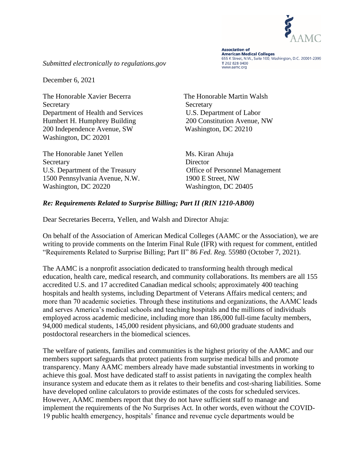

**Association of American Medical Colleges** 655 K Street, N.W., Suite 100, Washington, D.C. 20001-2399 T 202 828 0400 www.aamc.org

*Submitted electronically to regulations.gov*

December 6, 2021

The Honorable Xavier Becerra The Honorable Martin Walsh Secretary Secretary Secretary Secretary Secretary Secretary Secretary Secretary Secretary Secretary Secretary Secretary Secretary Secretary Secretary Secretary Secretary Secretary Secretary Secretary Secretary Secretary Se Department of Health and Services U.S. Department of Labor Humbert H. Humphrey Building 200 Constitution Avenue, NW 200 Independence Avenue, SW Washington, DC 20210 Washington, DC 20201

The Honorable Janet Yellen Ms. Kiran Ahuja Secretary Director U.S. Department of the Treasury Office of Personnel Management 1500 Pennsylvania Avenue, N.W. 1900 E Street, NW Washington, DC 20220 Washington, DC 20405

#### *Re: Requirements Related to Surprise Billing; Part II (RIN 1210-AB00)*

Dear Secretaries Becerra, Yellen, and Walsh and Director Ahuja:

On behalf of the Association of American Medical Colleges (AAMC or the Association), we are writing to provide comments on the Interim Final Rule (IFR) with request for comment, entitled "Requirements Related to Surprise Billing; Part II" 86 *Fed. Reg.* 55980 (October 7, 2021).

The AAMC is a nonprofit association dedicated to transforming health through medical education, health care, medical research, and community collaborations. Its members are all 155 accredited U.S. and 17 accredited Canadian medical schools; approximately 400 teaching hospitals and health systems, including Department of Veterans Affairs medical centers; and more than 70 academic societies. Through these institutions and organizations, the AAMC leads and serves America's medical schools and teaching hospitals and the millions of individuals employed across academic medicine, including more than 186,000 full-time faculty members, 94,000 medical students, 145,000 resident physicians, and 60,000 graduate students and postdoctoral researchers in the biomedical sciences.

The welfare of patients, families and communities is the highest priority of the AAMC and our members support safeguards that protect patients from surprise medical bills and promote transparency. Many AAMC members already have made substantial investments in working to achieve this goal. Most have dedicated staff to assist patients in navigating the complex health insurance system and educate them as it relates to their benefits and cost-sharing liabilities. Some have developed online calculators to provide estimates of the costs for scheduled services. However, AAMC members report that they do not have sufficient staff to manage and implement the requirements of the No Surprises Act. In other words, even without the COVID-19 public health emergency, hospitals' finance and revenue cycle departments would be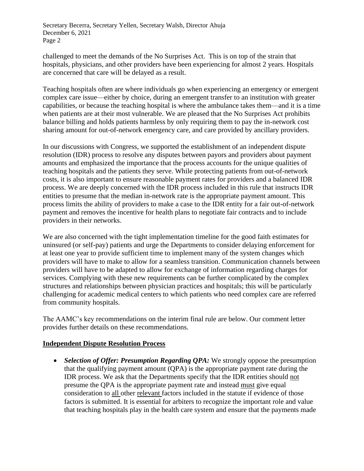challenged to meet the demands of the No Surprises Act. This is on top of the strain that hospitals, physicians, and other providers have been experiencing for almost 2 years. Hospitals are concerned that care will be delayed as a result.

Teaching hospitals often are where individuals go when experiencing an emergency or emergent complex care issue—either by choice, during an emergent transfer to an institution with greater capabilities, or because the teaching hospital is where the ambulance takes them—and it is a time when patients are at their most vulnerable. We are pleased that the No Surprises Act prohibits balance billing and holds patients harmless by only requiring them to pay the in-network cost sharing amount for out-of-network emergency care, and care provided by ancillary providers.

In our discussions with Congress, we supported the establishment of an independent dispute resolution (IDR) process to resolve any disputes between payors and providers about payment amounts and emphasized the importance that the process accounts for the unique qualities of teaching hospitals and the patients they serve. While protecting patients from out-of-network costs, it is also important to ensure reasonable payment rates for providers and a balanced IDR process. We are deeply concerned with the IDR process included in this rule that instructs IDR entities to presume that the median in-network rate is the appropriate payment amount. This process limits the ability of providers to make a case to the IDR entity for a fair out-of-network payment and removes the incentive for health plans to negotiate fair contracts and to include providers in their networks.

We are also concerned with the tight implementation timeline for the good faith estimates for uninsured (or self-pay) patients and urge the Departments to consider delaying enforcement for at least one year to provide sufficient time to implement many of the system changes which providers will have to make to allow for a seamless transition. Communication channels between providers will have to be adapted to allow for exchange of information regarding charges for services. Complying with these new requirements can be further complicated by the complex structures and relationships between physician practices and hospitals; this will be particularly challenging for academic medical centers to which patients who need complex care are referred from community hospitals.

The AAMC's key recommendations on the interim final rule are below. Our comment letter provides further details on these recommendations.

### **Independent Dispute Resolution Process**

• *Selection of Offer: Presumption Regarding OPA:* We strongly oppose the presumption that the qualifying payment amount (QPA) is the appropriate payment rate during the IDR process. We ask that the Departments specify that the IDR entities should not presume the QPA is the appropriate payment rate and instead must give equal consideration to all other relevant factors included in the statute if evidence of those factors is submitted. It is essential for arbiters to recognize the important role and value that teaching hospitals play in the health care system and ensure that the payments made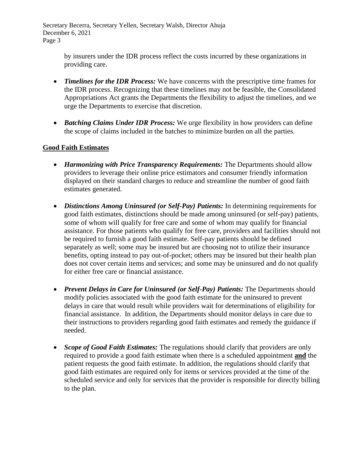> by insurers under the IDR process reflect the costs incurred by these organizations in providing care.

- *Timelines for the IDR Process:* We have concerns with the prescriptive time frames for the IDR process. Recognizing that these timelines may not be feasible, the Consolidated Appropriations Act grants the Departments the flexibility to adjust the timelines, and we urge the Departments to exercise that discretion.
- *Batching Claims Under IDR Process:* We urge flexibility in how providers can define the scope of claims included in the batches to minimize burden on all the parties.

### **Good Faith Estimates**

- *Harmonizing with Price Transparency Requirements:* The Departments should allow providers to leverage their online price estimators and consumer friendly information displayed on their standard charges to reduce and streamline the number of good faith estimates generated.
- *Distinctions Among Uninsured (or Self-Pay) Patients:* In determining requirements for good faith estimates, distinctions should be made among uninsured (or self-pay) patients, some of whom will qualify for free care and some of whom may qualify for financial assistance. For those patients who qualify for free care, providers and facilities should not be required to furnish a good faith estimate. Self-pay patients should be defined separately as well; some may be insured but are choosing not to utilize their insurance benefits, opting instead to pay out-of-pocket; others may be insured but their health plan does not cover certain items and services; and some may be uninsured and do not qualify for either free care or financial assistance.
- *Prevent Delays in Care for Uninsured (or Self-Pay) Patients:* The Departments should modify policies associated with the good faith estimate for the uninsured to prevent delays in care that would result while providers wait for determinations of eligibility for financial assistance. In addition, the Departments should monitor delays in care due to their instructions to providers regarding good faith estimates and remedy the guidance if needed.
- *Scope of Good Faith Estimates:* The regulations should clarify that providers are only required to provide a good faith estimate when there is a scheduled appointment **and** the patient requests the good faith estimate. In addition, the regulations should clarify that good faith estimates are required only for items or services provided at the time of the scheduled service and only for services that the provider is responsible for directly billing to the plan.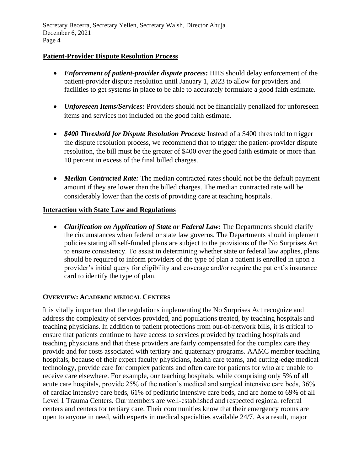### **Patient-Provider Dispute Resolution Process**

- *Enforcement of patient-provider dispute process*: HHS should delay enforcement of the patient-provider dispute resolution until January 1, 2023 to allow for providers and facilities to get systems in place to be able to accurately formulate a good faith estimate.
- *Unforeseen Items/Services:* Providers should not be financially penalized for unforeseen items and services not included on the good faith estimate*.*
- *\$400 Threshold for Dispute Resolution Process:* Instead of a \$400 threshold to trigger the dispute resolution process, we recommend that to trigger the patient-provider dispute resolution, the bill must be the greater of \$400 over the good faith estimate or more than 10 percent in excess of the final billed charges.
- *Median Contracted Rate:* The median contracted rates should not be the default payment amount if they are lower than the billed charges. The median contracted rate will be considerably lower than the costs of providing care at teaching hospitals.

#### **Interaction with State Law and Regulations**

• *Clarification on Application of State or Federal Law:* The Departments should clarify the circumstances when federal or state law governs. The Departments should implement policies stating all self-funded plans are subject to the provisions of the No Surprises Act to ensure consistency. To assist in determining whether state or federal law applies, plans should be required to inform providers of the type of plan a patient is enrolled in upon a provider's initial query for eligibility and coverage and/or require the patient's insurance card to identify the type of plan.

#### **OVERVIEW: ACADEMIC MEDICAL CENTERS**

It is vitally important that the regulations implementing the No Surprises Act recognize and address the complexity of services provided, and populations treated, by teaching hospitals and teaching physicians. In addition to patient protections from out-of-network bills, it is critical to ensure that patients continue to have access to services provided by teaching hospitals and teaching physicians and that these providers are fairly compensated for the complex care they provide and for costs associated with tertiary and quaternary programs. AAMC member teaching hospitals, because of their expert faculty physicians, health care teams, and cutting-edge medical technology, provide care for complex patients and often care for patients for who are unable to receive care elsewhere. For example, our teaching hospitals, while comprising only 5% of all acute care hospitals, provide 25% of the nation's medical and surgical intensive care beds, 36% of cardiac intensive care beds, 61% of pediatric intensive care beds, and are home to 69% of all Level 1 Trauma Centers. Our members are well-established and respected regional referral centers and centers for tertiary care. Their communities know that their emergency rooms are open to anyone in need, with experts in medical specialties available 24/7. As a result, major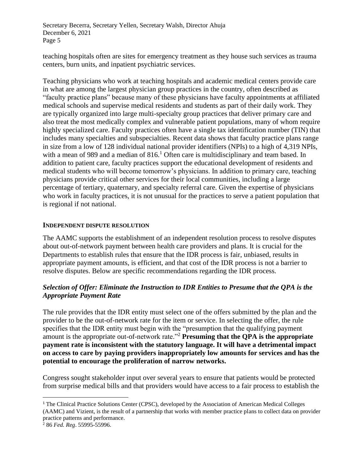teaching hospitals often are sites for emergency treatment as they house such services as trauma centers, burn units, and inpatient psychiatric services.

Teaching physicians who work at teaching hospitals and academic medical centers provide care in what are among the largest physician group practices in the country, often described as "faculty practice plans" because many of these physicians have faculty appointments at affiliated medical schools and supervise medical residents and students as part of their daily work. They are typically organized into large multi-specialty group practices that deliver primary care and also treat the most medically complex and vulnerable patient populations, many of whom require highly specialized care. Faculty practices often have a single tax identification number (TIN) that includes many specialties and subspecialties. Recent data shows that faculty practice plans range in size from a low of 128 individual national provider identifiers (NPIs) to a high of 4,319 NPIs, with a mean of 989 and a median of  $816<sup>1</sup>$  Often care is multidisciplinary and team based. In addition to patient care, faculty practices support the educational development of residents and medical students who will become tomorrow's physicians. In addition to primary care, teaching physicians provide critical other services for their local communities, including a large percentage of tertiary, quaternary, and specialty referral care. Given the expertise of physicians who work in faculty practices, it is not unusual for the practices to serve a patient population that is regional if not national.

#### **INDEPENDENT DISPUTE RESOLUTION**

The AAMC supports the establishment of an independent resolution process to resolve disputes about out-of-network payment between health care providers and plans. It is crucial for the Departments to establish rules that ensure that the IDR process is fair, unbiased, results in appropriate payment amounts, is efficient, and that cost of the IDR process is not a barrier to resolve disputes. Below are specific recommendations regarding the IDR process.

### *Selection of Offer: Eliminate the Instruction to IDR Entities to Presume that the QPA is the Appropriate Payment Rate*

The rule provides that the IDR entity must select one of the offers submitted by the plan and the provider to be the out-of-network rate for the item or service. In selecting the offer, the rule specifies that the IDR entity must begin with the "presumption that the qualifying payment amount is the appropriate out-of-network rate."<sup>2</sup> **Presuming that the QPA is the appropriate payment rate is inconsistent with the statutory language. It will have a detrimental impact on access to care by paying providers inappropriately low amounts for services and has the potential to encourage the proliferation of narrow networks.** 

Congress sought stakeholder input over several years to ensure that patients would be protected from surprise medical bills and that providers would have access to a fair process to establish the

<sup>&</sup>lt;sup>1</sup> The Clinical Practice Solutions Center (CPSC), developed by the Association of American Medical Colleges (AAMC) and Vizient, is the result of a partnership that works with member practice plans to collect data on provider practice patterns and performance.

<sup>2</sup> 86 *Fed. Reg*. 55995-55996.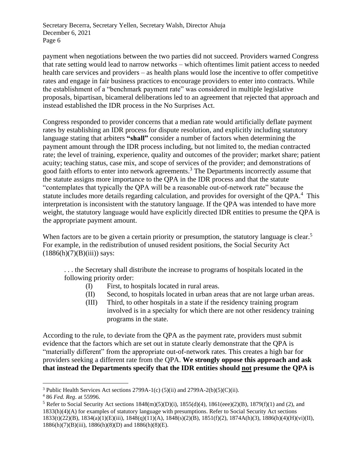payment when negotiations between the two parties did not succeed. Providers warned Congress that rate setting would lead to narrow networks – which oftentimes limit patient access to needed health care services and providers – as health plans would lose the incentive to offer competitive rates and engage in fair business practices to encourage providers to enter into contracts. While the establishment of a "benchmark payment rate" was considered in multiple legislative proposals, bipartisan, bicameral deliberations led to an agreement that rejected that approach and instead established the IDR process in the No Surprises Act.

Congress responded to provider concerns that a median rate would artificially deflate payment rates by establishing an IDR process for dispute resolution, and explicitly including statutory language stating that arbiters **"shall"** consider a number of factors when determining the payment amount through the IDR process including, but not limited to, the median contracted rate; the level of training, experience, quality and outcomes of the provider; market share; patient acuity; teaching status, case mix, and scope of services of the provider; and demonstrations of good faith efforts to enter into network agreements.<sup>3</sup> The Departments incorrectly assume that the statute assigns more importance to the QPA in the IDR process and that the statute "contemplates that typically the QPA will be a reasonable out-of-network rate" because the statute includes more details regarding calculation, and provides for oversight of the QPA.<sup>4</sup> This interpretation is inconsistent with the statutory language. If the QPA was intended to have more weight, the statutory language would have explicitly directed IDR entities to presume the QPA is the appropriate payment amount.

When factors are to be given a certain priority or presumption, the statutory language is clear.<sup>5</sup> For example, in the redistribution of unused resident positions, the Social Security Act  $(1886(h)(7)(B)(iii))$  says:

. . . the Secretary shall distribute the increase to programs of hospitals located in the following priority order:

- (I) First, to hospitals located in rural areas.
- (II) Second, to hospitals located in urban areas that are not large urban areas.
- (III) Third, to other hospitals in a state if the residency training program involved is in a specialty for which there are not other residency training programs in the state.

According to the rule, to deviate from the QPA as the payment rate, providers must submit evidence that the factors which are set out in statute clearly demonstrate that the QPA is "materially different" from the appropriate out-of-network rates. This creates a high bar for providers seeking a different rate from the QPA. **We strongly oppose this approach and ask that instead the Departments specify that the IDR entities should not presume the QPA is** 

<sup>&</sup>lt;sup>3</sup> Public Health Services Act sections  $2799A-1(c) (5)(ii)$  and  $2799A-2(b)(5)(C)(ii)$ .

<sup>4</sup> 86 *Fed. Reg*. at 55996.

<sup>&</sup>lt;sup>5</sup> Refer to Social Security Act sections  $1848(m)(5)(D)(i)$ ,  $1855(d)(4)$ ,  $1861(eee)(2)(B)$ ,  $1879(f)(1)$  and (2), and 1833(h)(4)(A) for examples of statutory language with presumptions. Refer to Social Security Act sections 1833(t)(22)(B), 1834(a)(1)(E)(iii), 1848(q)(11)(A), 1848(s)(2)(B), 1851(f)(2), 1874A(h)(3), 1886(h)(4)(H)(vi)(II), 1886(h)(7)(B)(iii), 1886(h)(8)(D) and 1886(h)(8)(E).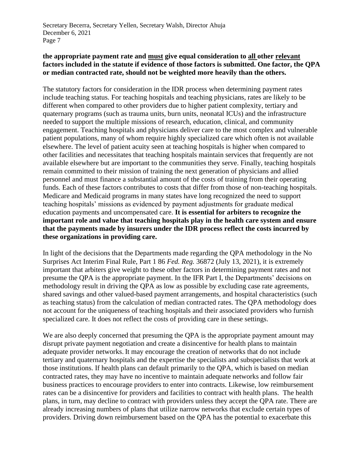#### **the appropriate payment rate and must give equal consideration to all other relevant factors included in the statute if evidence of those factors is submitted. One factor, the QPA or median contracted rate, should not be weighted more heavily than the others.**

The statutory factors for consideration in the IDR process when determining payment rates include teaching status. For teaching hospitals and teaching physicians, rates are likely to be different when compared to other providers due to higher patient complexity, tertiary and quaternary programs (such as trauma units, burn units, neonatal ICUs) and the infrastructure needed to support the multiple missions of research, education, clinical, and community engagement. Teaching hospitals and physicians deliver care to the most complex and vulnerable patient populations, many of whom require highly specialized care which often is not available elsewhere. The level of patient acuity seen at teaching hospitals is higher when compared to other facilities and necessitates that teaching hospitals maintain services that frequently are not available elsewhere but are important to the communities they serve. Finally, teaching hospitals remain committed to their mission of training the next generation of physicians and allied personnel and must finance a substantial amount of the costs of training from their operating funds. Each of these factors contributes to costs that differ from those of non-teaching hospitals. Medicare and Medicaid programs in many states have long recognized the need to support teaching hospitals' missions as evidenced by payment adjustments for graduate medical education payments and uncompensated care. **It is essential for arbiters to recognize the important role and value that teaching hospitals play in the health care system and ensure that the payments made by insurers under the IDR process reflect the costs incurred by these organizations in providing care.** 

In light of the decisions that the Departments made regarding the QPA methodology in the No Surprises Act Interim Final Rule, Part 1 86 *Fed. Reg.* 36872 (July 13, 2021), it is extremely important that arbiters give weight to these other factors in determining payment rates and not presume the QPA is the appropriate payment. In the IFR Part I, the Departments' decisions on methodology result in driving the QPA as low as possible by excluding case rate agreements, shared savings and other valued-based payment arrangements, and hospital characteristics (such as teaching status) from the calculation of median contracted rates. The QPA methodology does not account for the uniqueness of teaching hospitals and their associated providers who furnish specialized care. It does not reflect the costs of providing care in these settings.

We are also deeply concerned that presuming the QPA is the appropriate payment amount may disrupt private payment negotiation and create a disincentive for health plans to maintain adequate provider networks. It may encourage the creation of networks that do not include tertiary and quaternary hospitals and the expertise the specialists and subspecialists that work at those institutions. If health plans can default primarily to the QPA, which is based on median contracted rates, they may have no incentive to maintain adequate networks and follow fair business practices to encourage providers to enter into contracts. Likewise, low reimbursement rates can be a disincentive for providers and facilities to contract with health plans. The health plans, in turn, may decline to contract with providers unless they accept the QPA rate. There are already increasing numbers of plans that utilize narrow networks that exclude certain types of providers. Driving down reimbursement based on the QPA has the potential to exacerbate this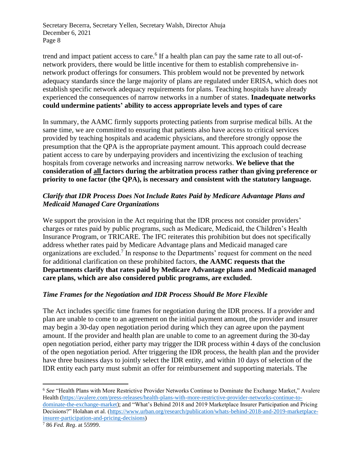trend and impact patient access to care.<sup>6</sup> If a health plan can pay the same rate to all out-ofnetwork providers, there would be little incentive for them to establish comprehensive innetwork product offerings for consumers. This problem would not be prevented by network adequacy standards since the large majority of plans are regulated under ERISA, which does not establish specific network adequacy requirements for plans. Teaching hospitals have already experienced the consequences of narrow networks in a number of states. **Inadequate networks could undermine patients' ability to access appropriate levels and types of care**

In summary, the AAMC firmly supports protecting patients from surprise medical bills. At the same time, we are committed to ensuring that patients also have access to critical services provided by teaching hospitals and academic physicians, and therefore strongly oppose the presumption that the QPA is the appropriate payment amount. This approach could decrease patient access to care by underpaying providers and incentivizing the exclusion of teaching hospitals from coverage networks and increasing narrow networks. **We believe that the consideration of all factors during the arbitration process rather than giving preference or priority to one factor (the QPA), is necessary and consistent with the statutory language.** 

## *Clarify that IDR Process Does Not Include Rates Paid by Medicare Advantage Plans and Medicaid Managed Care Organizations*

We support the provision in the Act requiring that the IDR process not consider providers' charges or rates paid by public programs, such as Medicare, Medicaid, the Children's Health Insurance Program, or TRICARE. The IFC reiterates this prohibition but does not specifically address whether rates paid by Medicare Advantage plans and Medicaid managed care organizations are excluded.<sup>7</sup> In response to the Departments' request for comment on the need for additional clarification on these prohibited factors, **the AAMC requests that the Departments clarify that rates paid by Medicare Advantage plans and Medicaid managed care plans, which are also considered public programs, are excluded.**

### *Time Frames for the Negotiation and IDR Process Should Be More Flexible*

The Act includes specific time frames for negotiation during the IDR process. If a provider and plan are unable to come to an agreement on the initial payment amount, the provider and insurer may begin a 30-day open negotiation period during which they can agree upon the payment amount. If the provider and health plan are unable to come to an agreement during the 30-day open negotiation period, either party may trigger the IDR process within 4 days of the conclusion of the open negotiation period. After triggering the IDR process, the health plan and the provider have three business days to jointly select the IDR entity, and within 10 days of selection of the IDR entity each party must submit an offer for reimbursement and supporting materials. The

<sup>6</sup> *See* "Health Plans with More Restrictive Provider Networks Continue to Dominate the Exchange Market," Avalere Health [\(https://avalere.com/press-releases/health-plans-with-more-restrictive-provider-networks-continue-to](https://avalere.com/press-releases/health-plans-with-more-restrictive-provider-networks-continue-to-dominate-the-exchange-market)[dominate-the-exchange-market\)](https://avalere.com/press-releases/health-plans-with-more-restrictive-provider-networks-continue-to-dominate-the-exchange-market); and "What's Behind 2018 and 2019 Marketplace Insurer Participation and Pricing Decisions?" Holahan et al. [\(https://www.urban.org/research/publication/whats-behind-2018-and-2019-marketplace](https://www.urban.org/research/publication/whats-behind-2018-and-2019-marketplace-insurer-participation-and-pricing-decisions)[insurer-participation-and-pricing-decisions\)](https://www.urban.org/research/publication/whats-behind-2018-and-2019-marketplace-insurer-participation-and-pricing-decisions)

<sup>7</sup> 86 *Fed. Reg*. at 55999.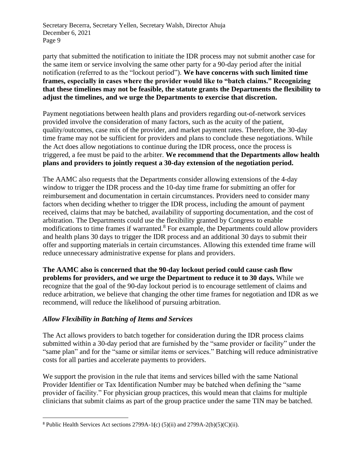party that submitted the notification to initiate the IDR process may not submit another case for the same item or service involving the same other party for a 90-day period after the initial notification (referred to as the "lockout period"). **We have concerns with such limited time frames, especially in cases where the provider would like to "batch claims." Recognizing that these timelines may not be feasible, the statute grants the Departments the flexibility to adjust the timelines, and we urge the Departments to exercise that discretion.**

Payment negotiations between health plans and providers regarding out-of-network services provided involve the consideration of many factors, such as the acuity of the patient, quality/outcomes, case mix of the provider, and market payment rates. Therefore, the 30-day time frame may not be sufficient for providers and plans to conclude these negotiations. While the Act does allow negotiations to continue during the IDR process, once the process is triggered, a fee must be paid to the arbiter. **We recommend that the Departments allow health plans and providers to jointly request a 30-day extension of the negotiation period.**

The AAMC also requests that the Departments consider allowing extensions of the 4-day window to trigger the IDR process and the 10-day time frame for submitting an offer for reimbursement and documentation in certain circumstances. Providers need to consider many factors when deciding whether to trigger the IDR process, including the amount of payment received, claims that may be batched, availability of supporting documentation, and the cost of arbitration. The Departments could use the flexibility granted by Congress to enable modifications to time frames if warranted.<sup>8</sup> For example, the Departments could allow providers and health plans 30 days to trigger the IDR process and an additional 30 days to submit their offer and supporting materials in certain circumstances. Allowing this extended time frame will reduce unnecessary administrative expense for plans and providers.

**The AAMC also is concerned that the 90-day lockout period could cause cash flow problems for providers, and we urge the Department to reduce it to 30 days.** While we recognize that the goal of the 90-day lockout period is to encourage settlement of claims and reduce arbitration, we believe that changing the other time frames for negotiation and IDR as we recommend, will reduce the likelihood of pursuing arbitration.

### *Allow Flexibility in Batching of Items and Services*

The Act allows providers to batch together for consideration during the IDR process claims submitted within a 30-day period that are furnished by the "same provider or facility" under the "same plan" and for the "same or similar items or services." Batching will reduce administrative costs for all parties and accelerate payments to providers.

We support the provision in the rule that items and services billed with the same National Provider Identifier or Tax Identification Number may be batched when defining the "same provider of facility." For physician group practices, this would mean that claims for multiple clinicians that submit claims as part of the group practice under the same TIN may be batched.

<sup>8</sup> Public Health Services Act sections 2799A-1**(**c) (5)(ii) and 2799A-2(b)(5)(C)(ii).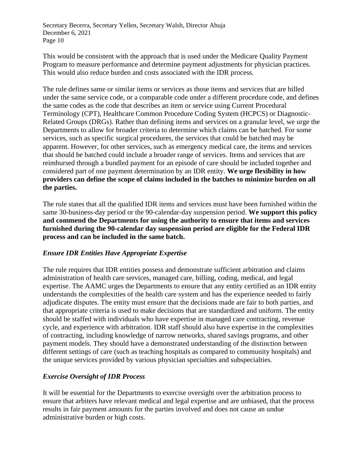This would be consistent with the approach that is used under the Medicare Quality Payment Program to measure performance and determine payment adjustments for physician practices. This would also reduce burden and costs associated with the IDR process.

The rule defines same or similar items or services as those items and services that are billed under the same service code, or a comparable code under a different procedure code, and defines the same codes as the code that describes an item or service using Current Procedural Terminology (CPT), Healthcare Common Procedure Coding System (HCPCS) or Diagnostic-Related Groups (DRGs). Rather than defining items and services on a granular level, we urge the Departments to allow for broader criteria to determine which claims can be batched. For some services, such as specific surgical procedures, the services that could be batched may be apparent. However, for other services, such as emergency medical care, the items and services that should be batched could include a broader range of services. Items and services that are reimbursed through a bundled payment for an episode of care should be included together and considered part of one payment determination by an IDR entity. **We urge flexibility in how providers can define the scope of claims included in the batches to minimize burden on all the parties.** 

The rule states that all the qualified IDR items and services must have been furnished within the same 30-business-day period or the 90-calendar-day suspension period. **We support this policy and commend the Departments for using the authority to ensure that items and services furnished during the 90-calendar day suspension period are eligible for the Federal IDR process and can be included in the same batch.** 

### *Ensure IDR Entities Have Appropriate Expertise*

The rule requires that IDR entities possess and demonstrate sufficient arbitration and claims administration of health care services, managed care, billing, coding, medical, and legal expertise. The AAMC urges the Departments to ensure that any entity certified as an IDR entity understands the complexities of the health care system and has the experience needed to fairly adjudicate disputes. The entity must ensure that the decisions made are fair to both parties, and that appropriate criteria is used to make decisions that are standardized and uniform. The entity should be staffed with individuals who have expertise in managed care contracting, revenue cycle, and experience with arbitration. IDR staff should also have expertise in the complexities of contracting, including knowledge of narrow networks, shared savings programs, and other payment models. They should have a demonstrated understanding of the distinction between different settings of care (such as teaching hospitals as compared to community hospitals) and the unique services provided by various physician specialties and subspecialties.

#### *Exercise Oversight of IDR Process*

It will be essential for the Departments to exercise oversight over the arbitration process to ensure that arbiters have relevant medical and legal expertise and are unbiased, that the process results in fair payment amounts for the parties involved and does not cause an undue administrative burden or high costs.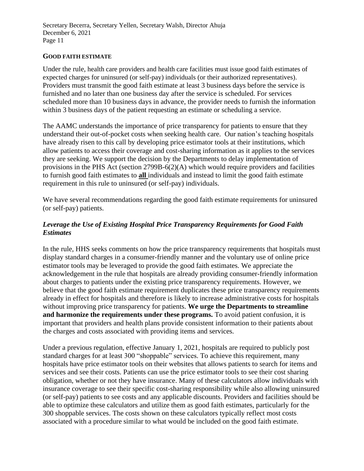#### **GOOD FAITH ESTIMATE**

Under the rule, health care providers and health care facilities must issue good faith estimates of expected charges for uninsured (or self-pay) individuals (or their authorized representatives). Providers must transmit the good faith estimate at least 3 business days before the service is furnished and no later than one business day after the service is scheduled. For services scheduled more than 10 business days in advance, the provider needs to furnish the information within 3 business days of the patient requesting an estimate or scheduling a service.

The AAMC understands the importance of price transparency for patients to ensure that they understand their out-of-pocket costs when seeking health care. Our nation's teaching hospitals have already risen to this call by developing price estimator tools at their institutions, which allow patients to access their coverage and cost-sharing information as it applies to the services they are seeking. We support the decision by the Departments to delay implementation of provisions in the PHS Act (section 2799B-6(2)(A) which would require providers and facilities to furnish good faith estimates to **all** individuals and instead to limit the good faith estimate requirement in this rule to uninsured (or self-pay) individuals.

We have several recommendations regarding the good faith estimate requirements for uninsured (or self-pay) patients.

#### *Leverage the Use of Existing Hospital Price Transparency Requirements for Good Faith Estimates*

In the rule, HHS seeks comments on how the price transparency requirements that hospitals must display standard charges in a consumer-friendly manner and the voluntary use of online price estimator tools may be leveraged to provide the good faith estimates. We appreciate the acknowledgement in the rule that hospitals are already providing consumer-friendly information about charges to patients under the existing price transparency requirements. However, we believe that the good faith estimate requirement duplicates these price transparency requirements already in effect for hospitals and therefore is likely to increase administrative costs for hospitals without improving price transparency for patients. **We urge the Departments to streamline and harmonize the requirements under these programs.** To avoid patient confusion, it is important that providers and health plans provide consistent information to their patients about the charges and costs associated with providing items and services.

Under a previous regulation, effective January 1, 2021, hospitals are required to publicly post standard charges for at least 300 "shoppable" services. To achieve this requirement, many hospitals have price estimator tools on their websites that allows patients to search for items and services and see their costs. Patients can use the price estimator tools to see their cost sharing obligation, whether or not they have insurance. Many of these calculators allow individuals with insurance coverage to see their specific cost-sharing responsibility while also allowing uninsured (or self-pay) patients to see costs and any applicable discounts. Providers and facilities should be able to optimize these calculators and utilize them as good faith estimates, particularly for the 300 shoppable services. The costs shown on these calculators typically reflect most costs associated with a procedure similar to what would be included on the good faith estimate.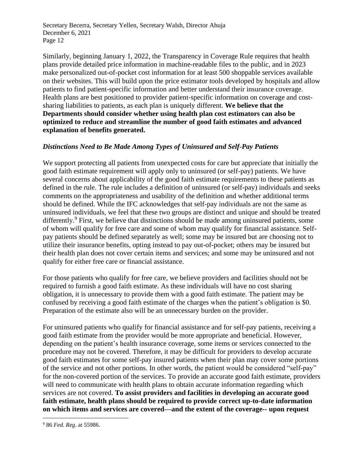Similarly, beginning January 1, 2022, the Transparency in Coverage Rule requires that health plans provide detailed price information in machine-readable files to the public, and in 2023 make personalized out-of-pocket cost information for at least 500 shoppable services available on their websites. This will build upon the price estimator tools developed by hospitals and allow patients to find patient-specific information and better understand their insurance coverage. Health plans are best positioned to provider patient-specific information on coverage and costsharing liabilities to patients, as each plan is uniquely different. **We believe that the Departments should consider whether using health plan cost estimators can also be optimized to reduce and streamline the number of good faith estimates and advanced explanation of benefits generated.**

### *Distinctions Need to Be Made Among Types of Uninsured and Self-Pay Patients*

We support protecting all patients from unexpected costs for care but appreciate that initially the good faith estimate requirement will apply only to uninsured (or self-pay) patients. We have several concerns about applicability of the good faith estimate requirements to these patients as defined in the rule. The rule includes a definition of uninsured (or self-pay) individuals and seeks comments on the appropriateness and usability of the definition and whether additional terms should be defined. While the IFC acknowledges that self-pay individuals are not the same as uninsured individuals, we feel that these two groups are distinct and unique and should be treated differently.<sup>9</sup> First, we believe that distinctions should be made among uninsured patients, some of whom will qualify for free care and some of whom may qualify for financial assistance. Selfpay patients should be defined separately as well; some may be insured but are choosing not to utilize their insurance benefits, opting instead to pay out-of-pocket; others may be insured but their health plan does not cover certain items and services; and some may be uninsured and not qualify for either free care or financial assistance.

For those patients who qualify for free care, we believe providers and facilities should not be required to furnish a good faith estimate. As these individuals will have no cost sharing obligation, it is unnecessary to provide them with a good faith estimate. The patient may be confused by receiving a good faith estimate of the charges when the patient's obligation is \$0. Preparation of the estimate also will be an unnecessary burden on the provider.

For uninsured patients who qualify for financial assistance and for self-pay patients, receiving a good faith estimate from the provider would be more appropriate and beneficial. However, depending on the patient's health insurance coverage, some items or services connected to the procedure may not be covered. Therefore, it may be difficult for providers to develop accurate good faith estimates for some self-pay insured patients when their plan may cover some portions of the service and not other portions. In other words, the patient would be considered "self-pay" for the non-covered portion of the services. To provide an accurate good faith estimate, providers will need to communicate with health plans to obtain accurate information regarding which services are not covered. **To assist providers and facilities in developing an accurate good faith estimate, health plans should be required to provide correct up-to-date information on which items and services are covered—and the extent of the coverage-- upon request** 

<sup>9</sup> 86 *Fed. Reg*. at 55986.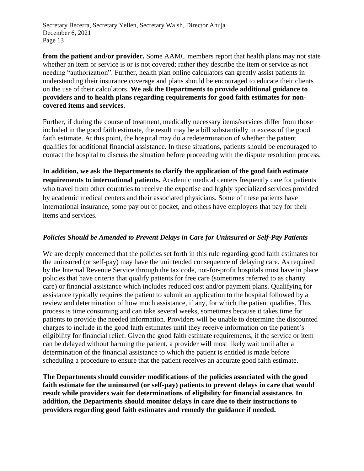**from the patient and/or provider.** Some AAMC members report that health plans may not state whether an item or service is or is not covered; rather they describe the item or service as not needing "authorization". Further, health plan online calculators can greatly assist patients in understanding their insurance coverage and plans should be encouraged to educate their clients on the use of their calculators. **We ask** t**he Departments to provide additional guidance to providers and to health plans regarding requirements for good faith estimates for noncovered items and services**.

Further, if during the course of treatment, medically necessary items/services differ from those included in the good faith estimate, the result may be a bill substantially in excess of the good faith estimate. At this point, the hospital may do a redetermination of whether the patient qualifies for additional financial assistance. In these situations, patients should be encouraged to contact the hospital to discuss the situation before proceeding with the dispute resolution process.

**In addition, we ask the Departments to clarify the application of the good faith estimate requirements to international patients.** Academic medical centers frequently care for patients who travel from other countries to receive the expertise and highly specialized services provided by academic medical centers and their associated physicians. Some of these patients have international insurance, some pay out of pocket, and others have employers that pay for their items and services.

#### *Policies Should be Amended to Prevent Delays in Care for Uninsured or Self-Pay Patients*

We are deeply concerned that the policies set forth in this rule regarding good faith estimates for the uninsured (or self-pay) may have the unintended consequence of delaying care. As required by the Internal Revenue Service through the tax code, not-for-profit hospitals must have in place policies that have criteria that qualify patients for free care (sometimes referred to as charity care) or financial assistance which includes reduced cost and/or payment plans. Qualifying for assistance typically requires the patient to submit an application to the hospital followed by a review and determination of how much assistance, if any, for which the patient qualifies. This process is time consuming and can take several weeks, sometimes because it takes time for patients to provide the needed information. Providers will be unable to determine the discounted charges to include in the good faith estimates until they receive information on the patient's eligibility for financial relief. Given the good faith estimate requirements, if the service or item can be delayed without harming the patient, a provider will most likely wait until after a determination of the financial assistance to which the patient is entitled is made before scheduling a procedure to ensure that the patient receives an accurate good faith estimate.

**The Departments should consider modifications of the policies associated with the good faith estimate for the uninsured (or self-pay) patients to prevent delays in care that would result while providers wait for determinations of eligibility for financial assistance. In addition, the Departments should monitor delays in care due to their instructions to providers regarding good faith estimates and remedy the guidance if needed.**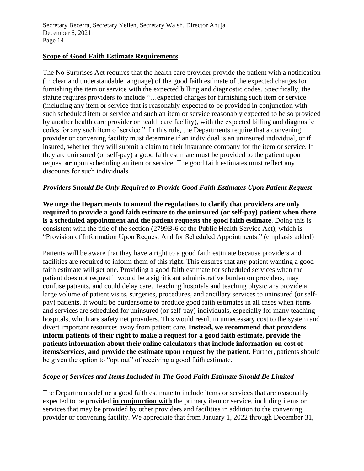#### **Scope of Good Faith Estimate Requirements**

The No Surprises Act requires that the health care provider provide the patient with a notification (in clear and understandable language) of the good faith estimate of the expected charges for furnishing the item or service with the expected billing and diagnostic codes. Specifically, the statute requires providers to include "…expected charges for furnishing such item or service (including any item or service that is reasonably expected to be provided in conjunction with such scheduled item or service and such an item or service reasonably expected to be so provided by another health care provider or health care facility), with the expected billing and diagnostic codes for any such item of service." In this rule, the Departments require that a convening provider or convening facility must determine if an individual is an uninsured individual, or if insured, whether they will submit a claim to their insurance company for the item or service. If they are uninsured (or self-pay) a good faith estimate must be provided to the patient upon request **or** upon scheduling an item or service. The good faith estimates must reflect any discounts for such individuals.

### *Providers Should Be Only Required to Provide Good Faith Estimates Upon Patient Request*

**We urge the Departments to amend the regulations to clarify that providers are only required to provide a good faith estimate to the uninsured (or self-pay) patient when there is a scheduled appointment and the patient requests the good faith estimate**. Doing this is consistent with the title of the section (2799B-6 of the Public Health Service Act), which is "Provision of Information Upon Request And for Scheduled Appointments." (emphasis added)

Patients will be aware that they have a right to a good faith estimate because providers and facilities are required to inform them of this right. This ensures that any patient wanting a good faith estimate will get one. Providing a good faith estimate for scheduled services when the patient does not request it would be a significant administrative burden on providers, may confuse patients, and could delay care. Teaching hospitals and teaching physicians provide a large volume of patient visits, surgeries, procedures, and ancillary services to uninsured (or selfpay) patients. It would be burdensome to produce good faith estimates in all cases when items and services are scheduled for uninsured (or self-pay) individuals, especially for many teaching hospitals, which are safety net providers. This would result in unnecessary cost to the system and divert important resources away from patient care. **Instead, we recommend that providers inform patients of their right to make a request for a good faith estimate, provide the patients information about their online calculators that include information on cost of items/services, and provide the estimate upon request by the patient.** Further, patients should be given the option to "opt out" of receiving a good faith estimate.

### *Scope of Services and Items Included in The Good Faith Estimate Should Be Limited*

The Departments define a good faith estimate to include items or services that are reasonably expected to be provided **in conjunction with** the primary item or service, including items or services that may be provided by other providers and facilities in addition to the convening provider or convening facility. We appreciate that from January 1, 2022 through December 31,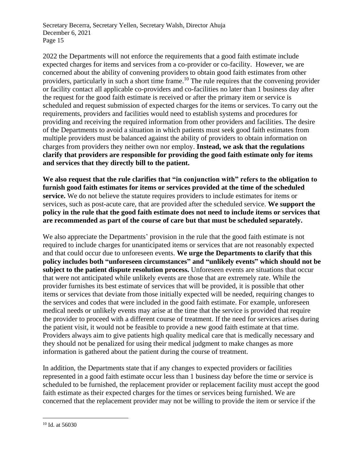2022 the Departments will not enforce the requirements that a good faith estimate include expected charges for items and services from a co-provider or co-facility. However, we are concerned about the ability of convening providers to obtain good faith estimates from other providers, particularly in such a short time frame.<sup>10</sup> The rule requires that the convening provider or facility contact all applicable co-providers and co-facilities no later than 1 business day after the request for the good faith estimate is received or after the primary item or service is scheduled and request submission of expected charges for the items or services. To carry out the requirements, providers and facilities would need to establish systems and procedures for providing and receiving the required information from other providers and facilities. The desire of the Departments to avoid a situation in which patients must seek good faith estimates from multiple providers must be balanced against the ability of providers to obtain information on charges from providers they neither own nor employ. **Instead, we ask that the regulations clarify that providers are responsible for providing the good faith estimate only for items and services that they directly bill to the patient.**

**We also request that the rule clarifies that "in conjunction with" refers to the obligation to furnish good faith estimates for items or services provided at the time of the scheduled service.** We do not believe the statute requires providers to include estimates for items or services, such as post-acute care, that are provided after the scheduled service. **We support the policy in the rule that the good faith estimate does not need to include items or services that are recommended as part of the course of care but that must be scheduled separately.** 

We also appreciate the Departments' provision in the rule that the good faith estimate is not required to include charges for unanticipated items or services that are not reasonably expected and that could occur due to unforeseen events. **We urge the Departments to clarify that this policy includes both "unforeseen circumstances" and "unlikely events" which should not be subject to the patient dispute resolution process.** Unforeseen events are situations that occur that were not anticipated while unlikely events are those that are extremely rate. While the provider furnishes its best estimate of services that will be provided, it is possible that other items or services that deviate from those initially expected will be needed, requiring changes to the services and codes that were included in the good faith estimate. For example, unforeseen medical needs or unlikely events may arise at the time that the service is provided that require the provider to proceed with a different course of treatment. If the need for services arises during the patient visit, it would not be feasible to provide a new good faith estimate at that time. Providers always aim to give patients high quality medical care that is medically necessary and they should not be penalized for using their medical judgment to make changes as more information is gathered about the patient during the course of treatment.

In addition, the Departments state that if any changes to expected providers or facilities represented in a good faith estimate occur less than 1 business day before the time or service is scheduled to be furnished, the replacement provider or replacement facility must accept the good faith estimate as their expected charges for the times or services being furnished. We are concerned that the replacement provider may not be willing to provide the item or service if the

<sup>10</sup> Id. at 56030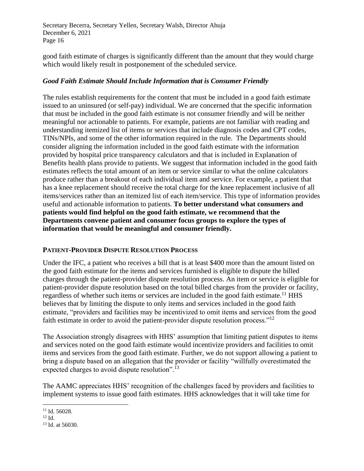good faith estimate of charges is significantly different than the amount that they would charge which would likely result in postponement of the scheduled service.

#### *Good Faith Estimate Should Include Information that is Consumer Friendly*

The rules establish requirements for the content that must be included in a good faith estimate issued to an uninsured (or self-pay) individual. We are concerned that the specific information that must be included in the good faith estimate is not consumer friendly and will be neither meaningful nor actionable to patients. For example, patients are not familiar with reading and understanding itemized list of items or services that include diagnosis codes and CPT codes, TINs/NPIs, and some of the other information required in the rule. The Departments should consider aligning the information included in the good faith estimate with the information provided by hospital price transparency calculators and that is included in Explanation of Benefits health plans provide to patients. We suggest that information included in the good faith estimates reflects the total amount of an item or service similar to what the online calculators produce rather than a breakout of each individual item and service. For example, a patient that has a knee replacement should receive the total charge for the knee replacement inclusive of all items/services rather than an itemized list of each item/service. This type of information provides useful and actionable information to patients. **To better understand what consumers and patients would find helpful on the good faith estimate, we recommend that the Departments convene patient and consumer focus groups to explore the types of information that would be meaningful and consumer friendly.** 

#### **PATIENT-PROVIDER DISPUTE RESOLUTION PROCESS**

Under the IFC, a patient who receives a bill that is at least \$400 more than the amount listed on the good faith estimate for the items and services furnished is eligible to dispute the billed charges through the patient-provider dispute resolution process. An item or service is eligible for patient-provider dispute resolution based on the total billed charges from the provider or facility, regardless of whether such items or services are included in the good faith estimate.<sup>11</sup> HHS believes that by limiting the dispute to only items and services included in the good faith estimate, "providers and facilities may be incentivized to omit items and services from the good faith estimate in order to avoid the patient-provider dispute resolution process."<sup>12</sup>

The Association strongly disagrees with HHS' assumption that limiting patient disputes to items and services noted on the good faith estimate would incentivize providers and facilities to omit items and services from the good faith estimate. Further, we do not support allowing a patient to bring a dispute based on an allegation that the provider or facility "willfully overestimated the expected charges to avoid dispute resolution".<sup>13</sup>

The AAMC appreciates HHS' recognition of the challenges faced by providers and facilities to implement systems to issue good faith estimates. HHS acknowledges that it will take time for

<sup>&</sup>lt;sup>11</sup> Id. 56028.

 $12$  Id.

<sup>13</sup> Id. at 56030.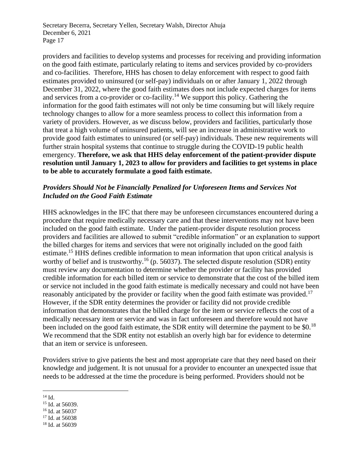providers and facilities to develop systems and processes for receiving and providing information on the good faith estimate, particularly relating to items and services provided by co-providers and co-facilities. Therefore, HHS has chosen to delay enforcement with respect to good faith estimates provided to uninsured (or self-pay) individuals on or after January 1, 2022 through December 31, 2022, where the good faith estimates does not include expected charges for items and services from a co-provider or co-facility.<sup>14</sup> We support this policy. Gathering the information for the good faith estimates will not only be time consuming but will likely require technology changes to allow for a more seamless process to collect this information from a variety of providers. However, as we discuss below, providers and facilities, particularly those that treat a high volume of uninsured patients, will see an increase in administrative work to provide good faith estimates to uninsured (or self-pay) individuals. These new requirements will further strain hospital systems that continue to struggle during the COVID-19 public health emergency. **Therefore, we ask that HHS delay enforcement of the patient-provider dispute resolution until January 1, 2023 to allow for providers and facilities to get systems in place to be able to accurately formulate a good faith estimate.**

#### *Providers Should Not be Financially Penalized for Unforeseen Items and Services Not Included on the Good Faith Estimate*

HHS acknowledges in the IFC that there may be unforeseen circumstances encountered during a procedure that require medically necessary care and that these interventions may not have been included on the good faith estimate. Under the patient-provider dispute resolution process providers and facilities are allowed to submit "credible information" or an explanation to support the billed charges for items and services that were not originally included on the good faith estimate.<sup>15</sup> HHS defines credible information to mean information that upon critical analysis is worthy of belief and is trustworthy.<sup>16</sup> (p. 56037). The selected dispute resolution (SDR) entity must review any documentation to determine whether the provider or facility has provided credible information for each billed item or service to demonstrate that the cost of the billed item or service not included in the good faith estimate is medically necessary and could not have been reasonably anticipated by the provider or facility when the good faith estimate was provided.<sup>17</sup> However, if the SDR entity determines the provider or facility did not provide credible information that demonstrates that the billed charge for the item or service reflects the cost of a medically necessary item or service and was in fact unforeseen and therefore would not have been included on the good faith estimate, the SDR entity will determine the payment to be \$0.<sup>18</sup> We recommend that the SDR entity not establish an overly high bar for evidence to determine that an item or service is unforeseen.

Providers strive to give patients the best and most appropriate care that they need based on their knowledge and judgement. It is not unusual for a provider to encounter an unexpected issue that needs to be addressed at the time the procedure is being performed. Providers should not be

<sup>18</sup> Id. at 56039

 $14$  Id.

<sup>&</sup>lt;sup>15</sup> Id. at 56039.

<sup>16</sup> Id. at 56037

<sup>&</sup>lt;sup>17</sup> Id. at 56038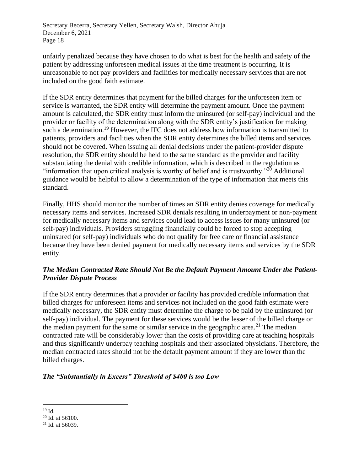unfairly penalized because they have chosen to do what is best for the health and safety of the patient by addressing unforeseen medical issues at the time treatment is occurring. It is unreasonable to not pay providers and facilities for medically necessary services that are not included on the good faith estimate.

If the SDR entity determines that payment for the billed charges for the unforeseen item or service is warranted, the SDR entity will determine the payment amount. Once the payment amount is calculated, the SDR entity must inform the uninsured (or self-pay) individual and the provider or facility of the determination along with the SDR entity's justification for making such a determination.<sup>19</sup> However, the IFC does not address how information is transmitted to patients, providers and facilities when the SDR entity determines the billed items and services should not be covered. When issuing all denial decisions under the patient-provider dispute resolution, the SDR entity should be held to the same standard as the provider and facility substantiating the denial with credible information, which is described in the regulation as "information that upon critical analysis is worthy of belief and is trustworthy."<sup>20</sup> Additional guidance would be helpful to allow a determination of the type of information that meets this standard.

Finally, HHS should monitor the number of times an SDR entity denies coverage for medically necessary items and services. Increased SDR denials resulting in underpayment or non-payment for medically necessary items and services could lead to access issues for many uninsured (or self-pay) individuals. Providers struggling financially could be forced to stop accepting uninsured (or self-pay) individuals who do not qualify for free care or financial assistance because they have been denied payment for medically necessary items and services by the SDR entity.

## *The Median Contracted Rate Should Not Be the Default Payment Amount Under the Patient-Provider Dispute Process*

If the SDR entity determines that a provider or facility has provided credible information that billed charges for unforeseen items and services not included on the good faith estimate were medically necessary, the SDR entity must determine the charge to be paid by the uninsured (or self-pay) individual. The payment for these services would be the lesser of the billed charge or the median payment for the same or similar service in the geographic area.<sup>21</sup> The median contracted rate will be considerably lower than the costs of providing care at teaching hospitals and thus significantly underpay teaching hospitals and their associated physicians. Therefore, the median contracted rates should not be the default payment amount if they are lower than the billed charges.

# *The "Substantially in Excess" Threshold of \$400 is too Low*

<sup>19</sup> Id.

 $20$  Id. at 56100.

<sup>21</sup> Id. at 56039.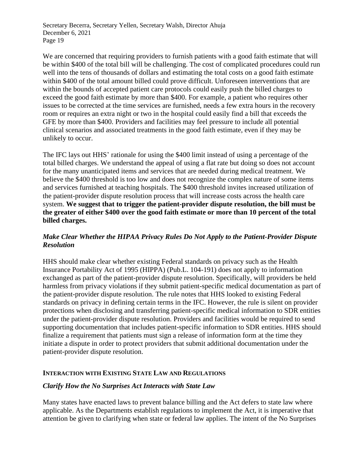We are concerned that requiring providers to furnish patients with a good faith estimate that will be within \$400 of the total bill will be challenging. The cost of complicated procedures could run well into the tens of thousands of dollars and estimating the total costs on a good faith estimate within \$400 of the total amount billed could prove difficult. Unforeseen interventions that are within the bounds of accepted patient care protocols could easily push the billed charges to exceed the good faith estimate by more than \$400. For example, a patient who requires other issues to be corrected at the time services are furnished, needs a few extra hours in the recovery room or requires an extra night or two in the hospital could easily find a bill that exceeds the GFE by more than \$400. Providers and facilities may feel pressure to include all potential clinical scenarios and associated treatments in the good faith estimate, even if they may be unlikely to occur.

The IFC lays out HHS' rationale for using the \$400 limit instead of using a percentage of the total billed charges. We understand the appeal of using a flat rate but doing so does not account for the many unanticipated items and services that are needed during medical treatment. We believe the \$400 threshold is too low and does not recognize the complex nature of some items and services furnished at teaching hospitals. The \$400 threshold invites increased utilization of the patient-provider dispute resolution process that will increase costs across the health care system. **We suggest that to trigger the patient-provider dispute resolution, the bill must be the greater of either \$400 over the good faith estimate or more than 10 percent of the total billed charges.**

## *Make Clear Whether the HIPAA Privacy Rules Do Not Apply to the Patient-Provider Dispute Resolution*

HHS should make clear whether existing Federal standards on privacy such as the Health Insurance Portability Act of 1995 (HIPPA) (Pub.L. 104-191) does not apply to information exchanged as part of the patient-provider dispute resolution. Specifically, will providers be held harmless from privacy violations if they submit patient-specific medical documentation as part of the patient-provider dispute resolution. The rule notes that HHS looked to existing Federal standards on privacy in defining certain terms in the IFC. However, the rule is silent on provider protections when disclosing and transferring patient-specific medical information to SDR entities under the patient-provider dispute resolution. Providers and facilities would be required to send supporting documentation that includes patient-specific information to SDR entities. HHS should finalize a requirement that patients must sign a release of information form at the time they initiate a dispute in order to protect providers that submit additional documentation under the patient-provider dispute resolution.

### **INTERACTION WITH EXISTING STATE LAW AND REGULATIONS**

#### *Clarify How the No Surprises Act Interacts with State Law*

Many states have enacted laws to prevent balance billing and the Act defers to state law where applicable. As the Departments establish regulations to implement the Act, it is imperative that attention be given to clarifying when state or federal law applies. The intent of the No Surprises